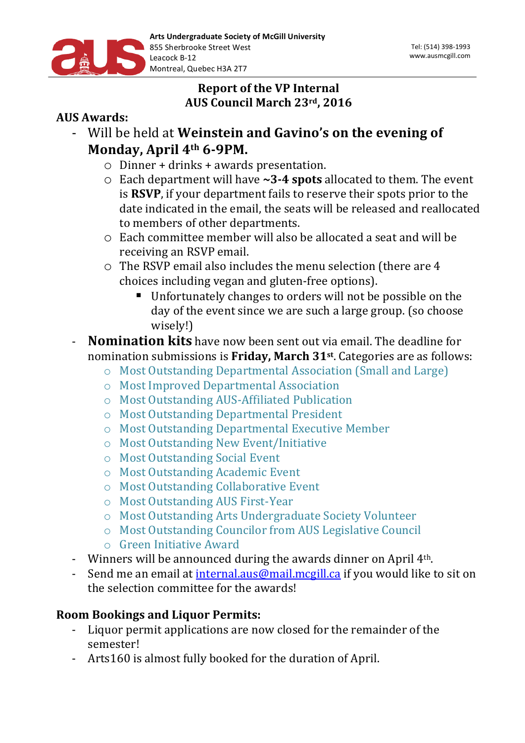

# **Report of the VP Internal AUS Council March 23rd, 2016**

### **AUS** Awards:

- Will be held at **Weinstein and Gavino's on the evening of Monday, April 4th 6-9PM.**
	- $\circ$  Dinner + drinks + awards presentation.
	- o Each department will have **~3-4 spots** allocated to them. The event is **RSVP**, if your department fails to reserve their spots prior to the date indicated in the email, the seats will be released and reallocated to members of other departments.
	- $\circ$  Each committee member will also be allocated a seat and will be receiving an RSVP email.
	- $\circ$  The RSVP email also includes the menu selection (there are 4 choices including vegan and gluten-free options).
		- Unfortunately changes to orders will not be possible on the day of the event since we are such a large group. (so choose wisely!)
- **Nomination kits** have now been sent out via email. The deadline for nomination submissions is Friday, March 31<sup>st</sup>. Categories are as follows:
	- o Most Outstanding Departmental Association (Small and Large)
	- o Most Improved Departmental Association
	- o Most Outstanding AUS-Affiliated Publication
	- o Most Outstanding Departmental President
	- o Most Outstanding Departmental Executive Member
	- o Most Outstanding New Event/Initiative
	- o Most Outstanding Social Event
	- o Most Outstanding Academic Event
	- o Most Outstanding Collaborative Event
	- o Most Outstanding AUS First-Year
	- o Most Outstanding Arts Undergraduate Society Volunteer
	- o Most Outstanding Councilor from AUS Legislative Council
	- o Green Initiative Award
- Winners will be announced during the awards dinner on April  $4<sup>th</sup>$ .
- Send me an email at internal.aus@mail.mcgill.ca if you would like to sit on the selection committee for the awards!

# **Room Bookings and Liquor Permits:**

- Liquor permit applications are now closed for the remainder of the semester!
- Arts160 is almost fully booked for the duration of April.